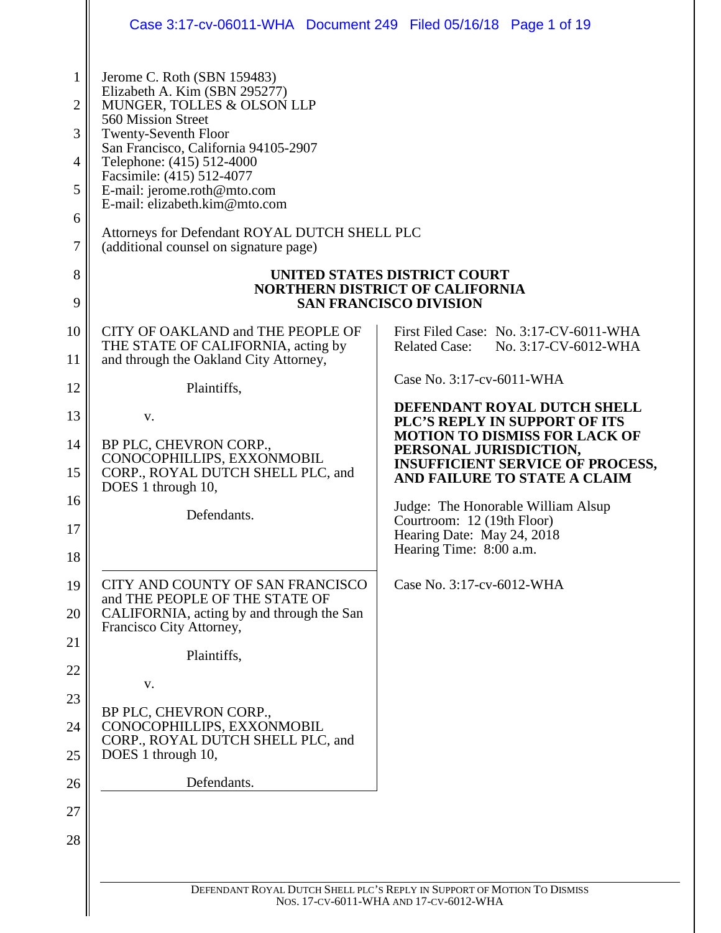| 3<br>4<br>5<br>6<br>8 | Jerome C. Roth (SBN 159483)<br>Elizabeth A. Kim (SBN 295277)<br>MUNGER, TOLLES & OLSON LLP<br>560 Mission Street<br><b>Twenty-Seventh Floor</b><br>San Francisco, California 94105-2907<br>Telephone: (415) 512-4000<br>Facsimile: (415) 512-4077<br>E-mail: jerome.roth@mto.com<br>E-mail: elizabeth.kim@mto.com<br>Attorneys for Defendant ROYAL DUTCH SHELL PLC<br>(additional counsel on signature page) | UNITED STATES DISTRICT COURT                                                                                                              |
|-----------------------|--------------------------------------------------------------------------------------------------------------------------------------------------------------------------------------------------------------------------------------------------------------------------------------------------------------------------------------------------------------------------------------------------------------|-------------------------------------------------------------------------------------------------------------------------------------------|
|                       |                                                                                                                                                                                                                                                                                                                                                                                                              | <b>NORTHERN DISTRICT OF CALIFORNIA</b><br><b>SAN FRANCISCO DIVISION</b>                                                                   |
| 10                    | CITY OF OAKLAND and THE PEOPLE OF<br>THE STATE OF CALIFORNIA, acting by<br>and through the Oakland City Attorney,                                                                                                                                                                                                                                                                                            | First Filed Case: No. 3:17-CV-6011-WHA<br><b>Related Case:</b><br>No. 3:17-CV-6012-WHA                                                    |
|                       | Plaintiffs,                                                                                                                                                                                                                                                                                                                                                                                                  | Case No. 3:17-cv-6011-WHA                                                                                                                 |
|                       | V.                                                                                                                                                                                                                                                                                                                                                                                                           | DEFENDANT ROYAL DUTCH SHELL<br>PLC'S REPLY IN SUPPORT OF ITS                                                                              |
|                       | BP PLC, CHEVRON CORP.,<br>CONOCOPHILLIPS, EXXONMOBIL<br>CORP., ROYAL DUTCH SHELL PLC, and<br>DOES 1 through 10,                                                                                                                                                                                                                                                                                              | <b>MOTION TO DISMISS FOR LACK OF</b><br>PERSONAL JURISDICTION,<br><b>INSUFFICIENT SERVICE OF PROCESS,</b><br>AND FAILURE TO STATE A CLAIM |
|                       | Defendants.                                                                                                                                                                                                                                                                                                                                                                                                  | Judge: The Honorable William Alsup<br>Courtroom: 12 (19th Floor)<br>Hearing Date: May 24, 2018<br>Hearing Time: 8:00 a.m.                 |
|                       | CITY AND COUNTY OF SAN FRANCISCO<br>and THE PEOPLE OF THE STATE OF<br>CALIFORNIA, acting by and through the San<br>Francisco City Attorney,<br>Plaintiffs,<br>V.<br>BP PLC, CHEVRON CORP.,<br>CONOCOPHILLIPS, EXXONMOBIL<br>CORP., ROYAL DUTCH SHELL PLC, and<br>DOES 1 through 10,<br>Defendants.                                                                                                           | Case No. 3:17-cv-6012-WHA                                                                                                                 |
|                       |                                                                                                                                                                                                                                                                                                                                                                                                              |                                                                                                                                           |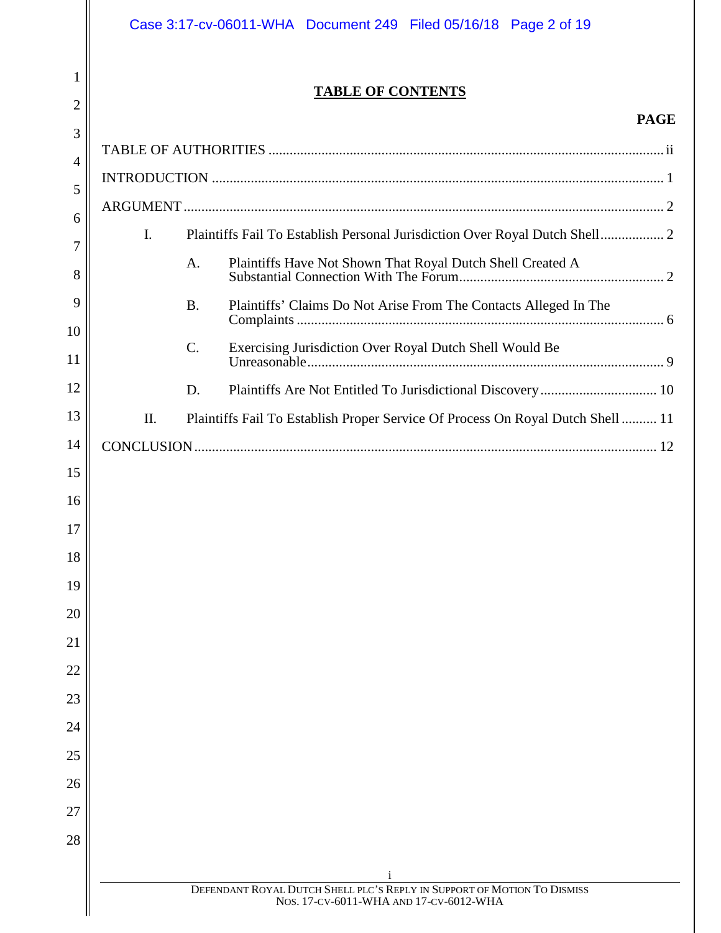|                     | Case 3:17-cv-06011-WHA  Document 249  Filed 05/16/18  Page 2 of 19                                                |  |  |
|---------------------|-------------------------------------------------------------------------------------------------------------------|--|--|
| 1<br>$\overline{2}$ | <b>TABLE OF CONTENTS</b>                                                                                          |  |  |
| 3                   | <b>PAGE</b>                                                                                                       |  |  |
| 4                   |                                                                                                                   |  |  |
| 5                   |                                                                                                                   |  |  |
| 6                   |                                                                                                                   |  |  |
| 7                   | $\mathbf{I}$ .<br>Plaintiffs Fail To Establish Personal Jurisdiction Over Royal Dutch Shell 2                     |  |  |
| 8                   | Plaintiffs Have Not Shown That Royal Dutch Shell Created A<br>A.                                                  |  |  |
| 9<br>10             | Plaintiffs' Claims Do Not Arise From The Contacts Alleged In The<br><b>B.</b>                                     |  |  |
| 11                  | C.<br>Exercising Jurisdiction Over Royal Dutch Shell Would Be                                                     |  |  |
| 12                  | D.                                                                                                                |  |  |
| 13                  | II.<br>Plaintiffs Fail To Establish Proper Service Of Process On Royal Dutch Shell  11                            |  |  |
| 14                  |                                                                                                                   |  |  |
| 15                  |                                                                                                                   |  |  |
| 16                  |                                                                                                                   |  |  |
| 17                  |                                                                                                                   |  |  |
| 18                  |                                                                                                                   |  |  |
| 19                  |                                                                                                                   |  |  |
| 20                  |                                                                                                                   |  |  |
| 21                  |                                                                                                                   |  |  |
| 22                  |                                                                                                                   |  |  |
| 23                  |                                                                                                                   |  |  |
| 24                  |                                                                                                                   |  |  |
| 25                  |                                                                                                                   |  |  |
| 26                  |                                                                                                                   |  |  |
| 27                  |                                                                                                                   |  |  |
| 28                  |                                                                                                                   |  |  |
|                     |                                                                                                                   |  |  |
|                     | DEFENDANT ROYAL DUTCH SHELL PLC'S REPLY IN SUPPORT OF MOTION TO DISMISS<br>NOS. 17-CV-6011-WHA AND 17-CV-6012-WHA |  |  |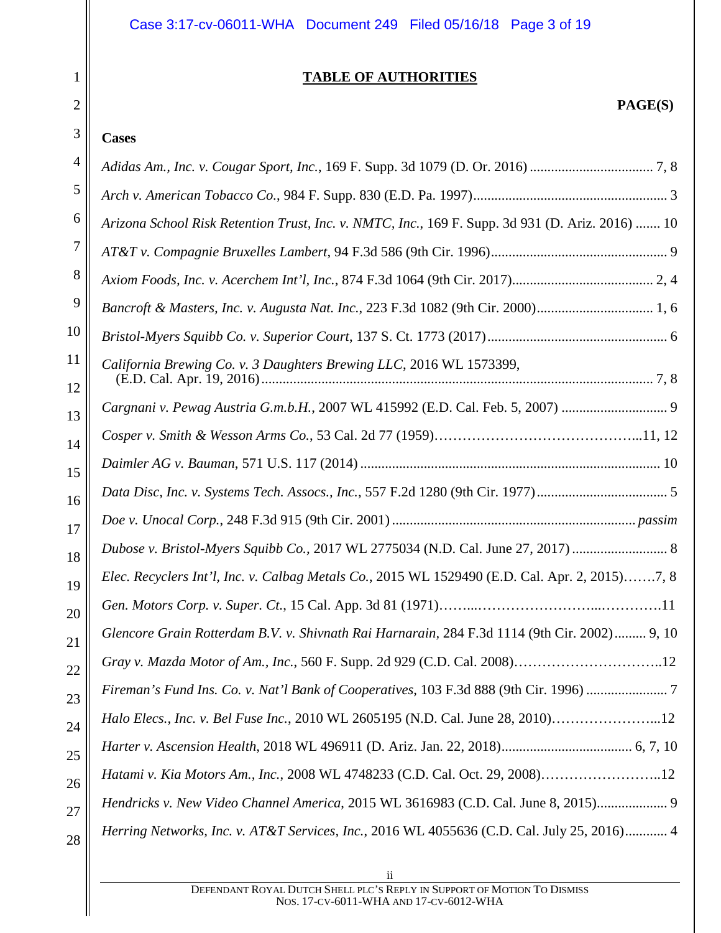| Case 3:17-cv-06011-WHA  Document 249  Filed 05/16/18  Page 3 of 19 |  |  |  |
|--------------------------------------------------------------------|--|--|--|
|--------------------------------------------------------------------|--|--|--|

## **TABLE OF AUTHORITIES**

# **PAGE(S)**

#### **Cases**

1

2

| 4              |                                                                                                  |
|----------------|--------------------------------------------------------------------------------------------------|
| 5              |                                                                                                  |
| 6              | Arizona School Risk Retention Trust, Inc. v. NMTC, Inc., 169 F. Supp. 3d 931 (D. Ariz. 2016)  10 |
| $\overline{7}$ |                                                                                                  |
| 8              |                                                                                                  |
| 9              |                                                                                                  |
| 10             |                                                                                                  |
| 11<br>12       | California Brewing Co. v. 3 Daughters Brewing LLC, 2016 WL 1573399,                              |
| 13             | Cargnani v. Pewag Austria G.m.b.H., 2007 WL 415992 (E.D. Cal. Feb. 5, 2007)  9                   |
| 14             |                                                                                                  |
| 15             |                                                                                                  |
| 16             |                                                                                                  |
| 17             |                                                                                                  |
| 18             | Dubose v. Bristol-Myers Squibb Co., 2017 WL 2775034 (N.D. Cal. June 27, 2017)  8                 |
| 19             | Elec. Recyclers Int'l, Inc. v. Calbag Metals Co., 2015 WL 1529490 (E.D. Cal. Apr. 2, 2015)7, 8   |
| 20             |                                                                                                  |
| 21             | Glencore Grain Rotterdam B.V. v. Shivnath Rai Harnarain, 284 F.3d 1114 (9th Cir. 2002)  9, 10    |
| 22             | Gray v. Mazda Motor of Am., Inc., 560 F. Supp. 2d 929 (C.D. Cal. 2008)12                         |
| 23             | Fireman's Fund Ins. Co. v. Nat'l Bank of Cooperatives, 103 F.3d 888 (9th Cir. 1996)              |
| 24             | Halo Elecs., Inc. v. Bel Fuse Inc., 2010 WL 2605195 (N.D. Cal. June 28, 2010)12                  |
| 25             |                                                                                                  |
| 26             | Hatami v. Kia Motors Am., Inc., 2008 WL 4748233 (C.D. Cal. Oct. 29, 2008)12                      |
| 27             | Hendricks v. New Video Channel America, 2015 WL 3616983 (C.D. Cal. June 8, 2015) 9               |
| 28             | Herring Networks, Inc. v. AT&T Services, Inc., 2016 WL 4055636 (C.D. Cal. July 25, 2016) 4       |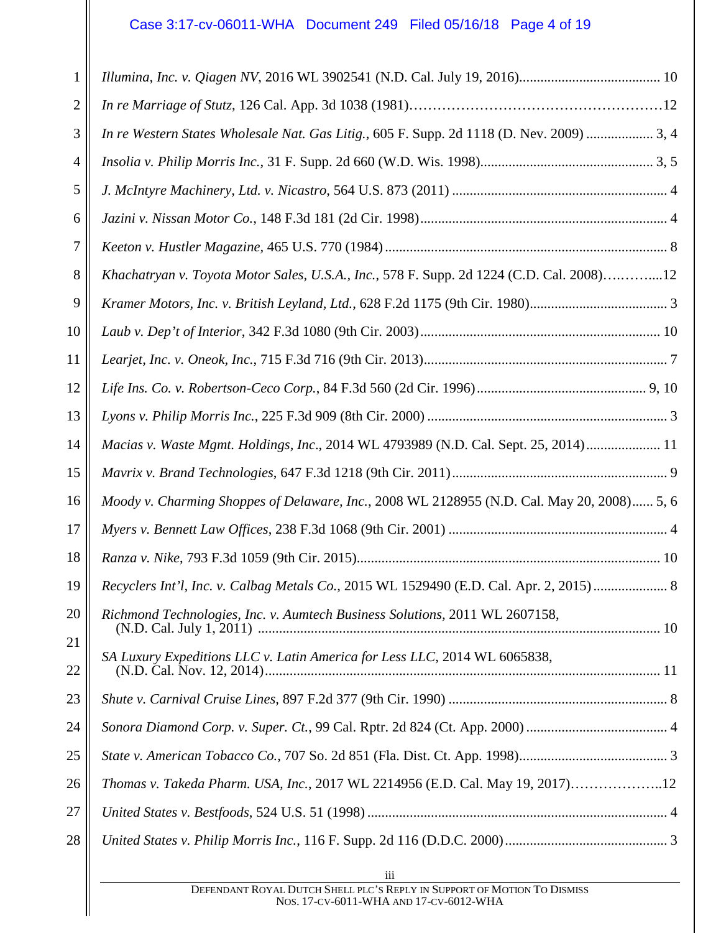# Case 3:17-cv-06011-WHA Document 249 Filed 05/16/18 Page 4 of 19

| 1              |                                                                                            |
|----------------|--------------------------------------------------------------------------------------------|
| $\overline{2}$ |                                                                                            |
| 3              | In re Western States Wholesale Nat. Gas Litig., 605 F. Supp. 2d 1118 (D. Nev. 2009)  3, 4  |
| 4              |                                                                                            |
| 5              |                                                                                            |
| 6              |                                                                                            |
| 7              |                                                                                            |
| 8              | Khachatryan v. Toyota Motor Sales, U.S.A., Inc., 578 F. Supp. 2d 1224 (C.D. Cal. 2008)12   |
| 9              |                                                                                            |
| 10             |                                                                                            |
| 11             |                                                                                            |
| 12             |                                                                                            |
| 13             |                                                                                            |
| 14             | Macias v. Waste Mgmt. Holdings, Inc., 2014 WL 4793989 (N.D. Cal. Sept. 25, 2014) 11        |
| 15             |                                                                                            |
| 16             | Moody v. Charming Shoppes of Delaware, Inc., 2008 WL 2128955 (N.D. Cal. May 20, 2008) 5, 6 |
| 17             |                                                                                            |
| 18             |                                                                                            |
| 19             | Recyclers Int'l, Inc. v. Calbag Metals Co., 2015 WL 1529490 (E.D. Cal. Apr. 2, 2015)  8    |
| 20             | Richmond Technologies, Inc. v. Aumtech Business Solutions, 2011 WL 2607158,                |
| 21             |                                                                                            |
| 22             | SA Luxury Expeditions LLC v. Latin America for Less LLC, 2014 WL 6065838,                  |
| 23             |                                                                                            |
| 24             |                                                                                            |
| 25             |                                                                                            |
| 26             | Thomas v. Takeda Pharm. USA, Inc., 2017 WL 2214956 (E.D. Cal. May 19, 2017)12              |
| 27             |                                                                                            |
| 28             |                                                                                            |
|                |                                                                                            |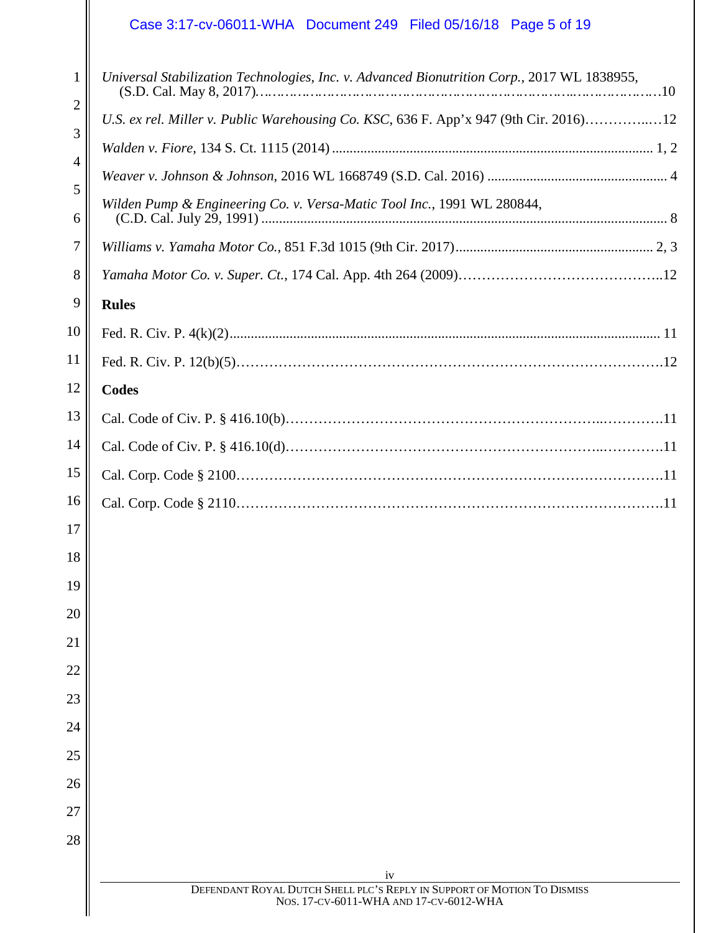# Case 3:17-cv-06011-WHA Document 249 Filed 05/16/18 Page 5 of 19

| $\mathbf{1}$ | Universal Stabilization Technologies, Inc. v. Advanced Bionutrition Corp., 2017 WL 1838955,                       |
|--------------|-------------------------------------------------------------------------------------------------------------------|
| 2            | U.S. ex rel. Miller v. Public Warehousing Co. KSC, 636 F. App'x 947 (9th Cir. 2016)12                             |
| 3            |                                                                                                                   |
| 4            |                                                                                                                   |
| 5<br>6       | Wilden Pump & Engineering Co. v. Versa-Matic Tool Inc., 1991 WL 280844,                                           |
| 7            |                                                                                                                   |
| 8            |                                                                                                                   |
| 9            | <b>Rules</b>                                                                                                      |
| 10           |                                                                                                                   |
| 11           |                                                                                                                   |
| 12           | <b>Codes</b>                                                                                                      |
| 13           |                                                                                                                   |
| 14           |                                                                                                                   |
| 15           |                                                                                                                   |
| 16           |                                                                                                                   |
| 17           |                                                                                                                   |
| 18           |                                                                                                                   |
| 19           |                                                                                                                   |
| 20           |                                                                                                                   |
| 21           |                                                                                                                   |
| 22           |                                                                                                                   |
| 23           |                                                                                                                   |
| 24           |                                                                                                                   |
| 25           |                                                                                                                   |
| 26           |                                                                                                                   |
| 27           |                                                                                                                   |
| 28           |                                                                                                                   |
|              | iv                                                                                                                |
|              | DEFENDANT ROYAL DUTCH SHELL PLC'S REPLY IN SUPPORT OF MOTION TO DISMISS<br>NOS. 17-CV-6011-WHA AND 17-CV-6012-WHA |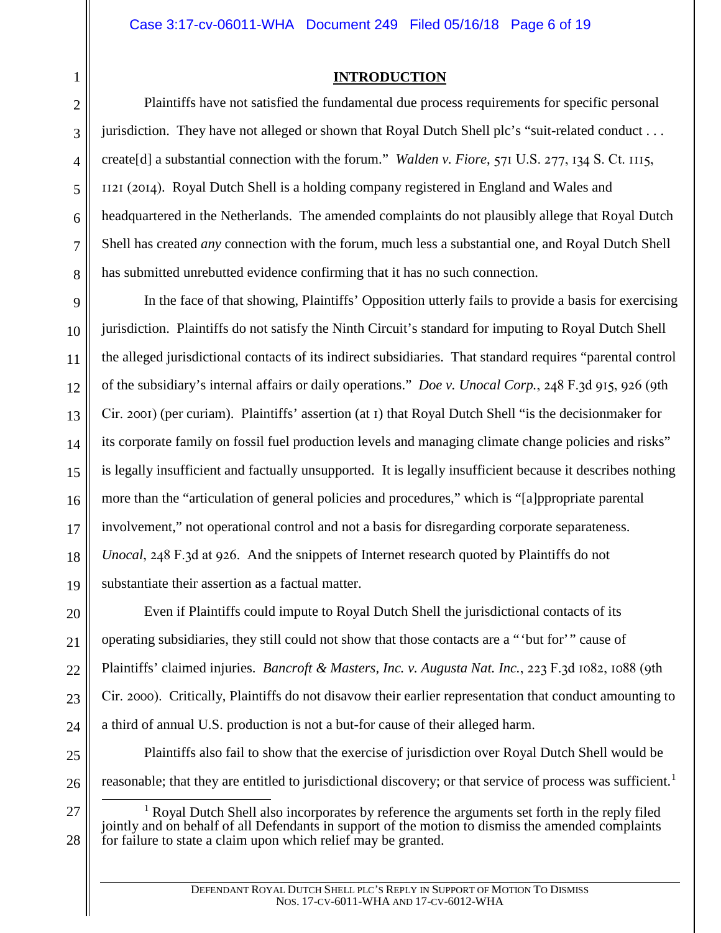#### Case 3:17-cv-06011-WHA Document 249 Filed 05/16/18 Page 6 of 19

#### **INTRODUCTION**

Plaintiffs have not satisfied the fundamental due process requirements for specific personal jurisdiction. They have not alleged or shown that Royal Dutch Shell plc's "suit-related conduct . . . create[d] a substantial connection with the forum." *Walden v. Fiore*, 571 U.S. 277, 134 S. Ct. 1115, 1121 (2014). Royal Dutch Shell is a holding company registered in England and Wales and headquartered in the Netherlands. The amended complaints do not plausibly allege that Royal Dutch Shell has created *any* connection with the forum, much less a substantial one, and Royal Dutch Shell has submitted unrebutted evidence confirming that it has no such connection.

14 15 16 17 18 19 In the face of that showing, Plaintiffs' Opposition utterly fails to provide a basis for exercising jurisdiction. Plaintiffs do not satisfy the Ninth Circuit's standard for imputing to Royal Dutch Shell the alleged jurisdictional contacts of its indirect subsidiaries. That standard requires "parental control of the subsidiary's internal affairs or daily operations." *Doe v. Unocal Corp.*, 248 F.3d 915, 926 (9th Cir. 2001) (per curiam). Plaintiffs' assertion (at 1) that Royal Dutch Shell "is the decisionmaker for its corporate family on fossil fuel production levels and managing climate change policies and risks" is legally insufficient and factually unsupported. It is legally insufficient because it describes nothing more than the "articulation of general policies and procedures," which is "[a]ppropriate parental involvement," not operational control and not a basis for disregarding corporate separateness. *Unocal*, 248 F.3d at 926. And the snippets of Internet research quoted by Plaintiffs do not substantiate their assertion as a factual matter.

20 21 22 23 24 Even if Plaintiffs could impute to Royal Dutch Shell the jurisdictional contacts of its operating subsidiaries, they still could not show that those contacts are a "'but for'" cause of Plaintiffs' claimed injuries. *Bancroft & Masters, Inc. v. Augusta Nat. Inc.*, 223 F.3d 1082, 1088 (9th Cir. 2000). Critically, Plaintiffs do not disavow their earlier representation that conduct amounting to a third of annual U.S. production is not a but-for cause of their alleged harm.

- 25
- 26 27

28

Plaintiffs also fail to show that the exercise of jurisdiction over Royal Dutch Shell would be reasonable; that they are entitled to jurisdictional discovery; or that service of process was sufficient.<sup>1</sup>

<sup>1</sup> Royal Dutch Shell also incorporates by reference the arguments set forth in the reply filed jointly and on behalf of all Defendants in support of the motion to dismiss the amended complaints for failure to state a claim upon which relief may be granted.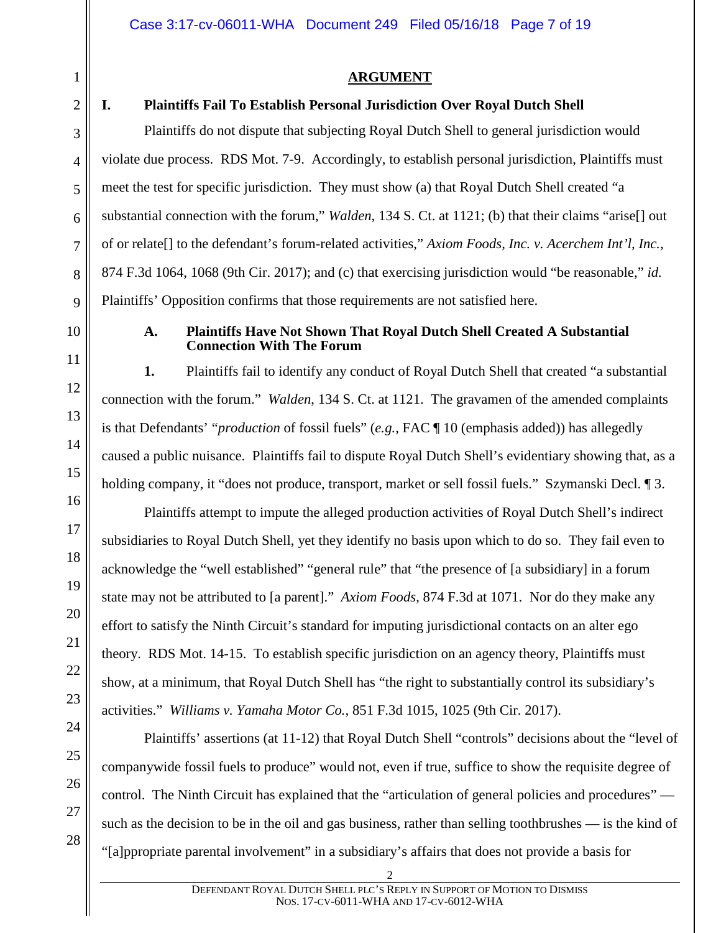1 2

3

## **ARGUMENT**

#### **I. Plaintiffs Fail To Establish Personal Jurisdiction Over Royal Dutch Shell**

Plaintiffs do not dispute that subjecting Royal Dutch Shell to general jurisdiction would violate due process. RDS Mot. 7-9. Accordingly, to establish personal jurisdiction, Plaintiffs must meet the test for specific jurisdiction. They must show (a) that Royal Dutch Shell created "a substantial connection with the forum," *Walden*, 134 S. Ct. at 1121; (b) that their claims "arise[] out of or relate[] to the defendant's forum-related activities," *Axiom Foods, Inc. v. Acerchem Int'l, Inc.*, 874 F.3d 1064, 1068 (9th Cir. 2017); and (c) that exercising jurisdiction would "be reasonable," *id.* Plaintiffs' Opposition confirms that those requirements are not satisfied here.

#### **A. Plaintiffs Have Not Shown That Royal Dutch Shell Created A Substantial Connection With The Forum**

**1.** Plaintiffs fail to identify any conduct of Royal Dutch Shell that created "a substantial connection with the forum." *Walden*, 134 S. Ct. at 1121. The gravamen of the amended complaints is that Defendants' "*production* of fossil fuels" (*e.g.*, FAC ¶ 10 (emphasis added)) has allegedly caused a public nuisance. Plaintiffs fail to dispute Royal Dutch Shell's evidentiary showing that, as a holding company, it "does not produce, transport, market or sell fossil fuels." Szymanski Decl. [9].

Plaintiffs attempt to impute the alleged production activities of Royal Dutch Shell's indirect subsidiaries to Royal Dutch Shell, yet they identify no basis upon which to do so. They fail even to acknowledge the "well established" "general rule" that "the presence of [a subsidiary] in a forum state may not be attributed to [a parent]." *Axiom Foods*, 874 F.3d at 1071. Nor do they make any effort to satisfy the Ninth Circuit's standard for imputing jurisdictional contacts on an alter ego theory. RDS Mot. 14-15. To establish specific jurisdiction on an agency theory, Plaintiffs must show, at a minimum, that Royal Dutch Shell has "the right to substantially control its subsidiary's activities." *Williams v. Yamaha Motor Co.*, 851 F.3d 1015, 1025 (9th Cir. 2017).

Plaintiffs' assertions (at 11-12) that Royal Dutch Shell "controls" decisions about the "level of companywide fossil fuels to produce" would not, even if true, suffice to show the requisite degree of control. The Ninth Circuit has explained that the "articulation of general policies and procedures" such as the decision to be in the oil and gas business, rather than selling toothbrushes — is the kind of "[a]ppropriate parental involvement" in a subsidiary's affairs that does not provide a basis for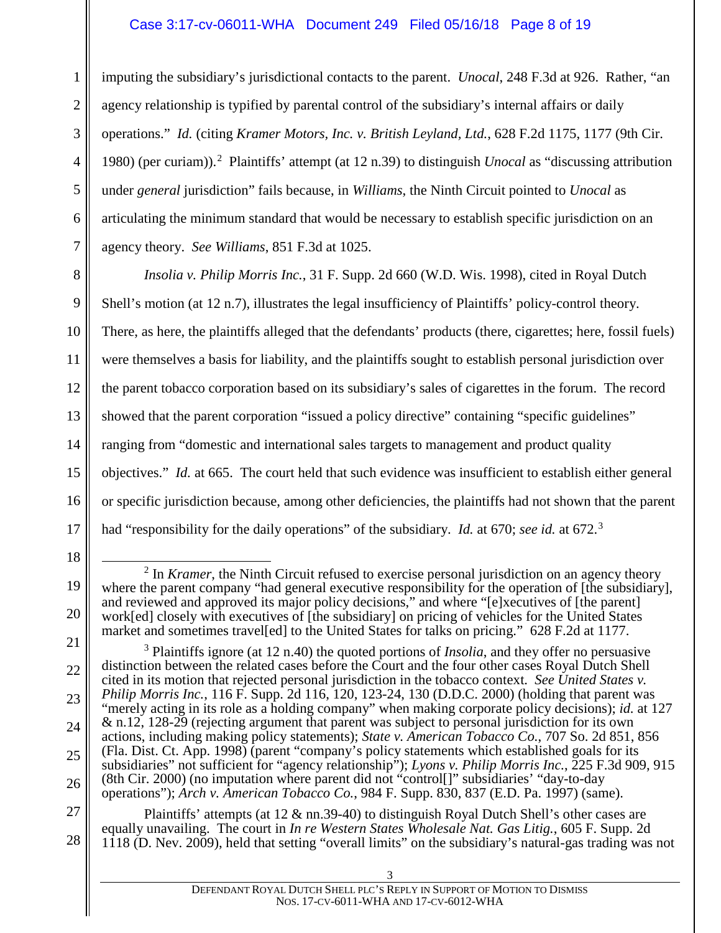#### Case 3:17-cv-06011-WHA Document 249 Filed 05/16/18 Page 8 of 19

1 2 3 4 5 6 7 imputing the subsidiary's jurisdictional contacts to the parent. *Unocal*, 248 F.3d at 926. Rather, "an agency relationship is typified by parental control of the subsidiary's internal affairs or daily operations." *Id.* (citing *Kramer Motors, Inc. v. British Leyland, Ltd.*, 628 F.2d 1175, 1177 (9th Cir. 1980) (per curiam)).<sup>2</sup> Plaintiffs' attempt (at 12 n.39) to distinguish *Unocal* as "discussing attribution under *general* jurisdiction" fails because, in *Williams*, the Ninth Circuit pointed to *Unocal* as articulating the minimum standard that would be necessary to establish specific jurisdiction on an agency theory. *See Williams*, 851 F.3d at 1025.

8 9 10 11 12 13 14 15 16 17 *Insolia v. Philip Morris Inc.*, 31 F. Supp. 2d 660 (W.D. Wis. 1998), cited in Royal Dutch Shell's motion (at 12 n.7), illustrates the legal insufficiency of Plaintiffs' policy-control theory. There, as here, the plaintiffs alleged that the defendants' products (there, cigarettes; here, fossil fuels) were themselves a basis for liability, and the plaintiffs sought to establish personal jurisdiction over the parent tobacco corporation based on its subsidiary's sales of cigarettes in the forum. The record showed that the parent corporation "issued a policy directive" containing "specific guidelines" ranging from "domestic and international sales targets to management and product quality objectives." *Id.* at 665. The court held that such evidence was insufficient to establish either general or specific jurisdiction because, among other deficiencies, the plaintiffs had not shown that the parent had "responsibility for the daily operations" of the subsidiary. *Id.* at 670; *see id.* at 672.<sup>3</sup>

<sup>18</sup>

<sup>19</sup> <sup>2</sup> In *Kramer*, the Ninth Circuit refused to exercise personal jurisdiction on an agency theory where the parent company "had general executive responsibility for the operation of [the subsidiary], and reviewed and approved its major policy decisions," and where "[e]xecutives of [the parent] work[ed] closely with executives of [the subsidiary] on pricing of vehicles for the United States market and sometimes travel[ed] to the United States for talks on pricing." 628 F.2d at 1177.

<sup>21</sup> 22 23 24 25 26 <sup>3</sup> Plaintiffs ignore (at 12 n.40) the quoted portions of *Insolia*, and they offer no persuasive distinction between the related cases before the Court and the four other cases Royal Dutch Shell cited in its motion that rejected personal jurisdiction in the tobacco context. *See United States v. Philip Morris Inc.*, 116 F. Supp. 2d 116, 120, 123-24, 130 (D.D.C. 2000) (holding that parent was "merely acting in its role as a holding company" when making corporate policy decisions); *id.* at 127 & n.12, 128-29 (rejecting argument that parent was subject to personal jurisdiction for its own actions, including making policy statements); *State v. American Tobacco Co.*, 707 So. 2d 851, 856 (Fla. Dist. Ct. App. 1998) (parent "company's policy statements which established goals for its subsidiaries" not sufficient for "agency relationship"); *Lyons v. Philip Morris Inc.*, 225 F.3d 909, 915 (8th Cir. 2000) (no imputation where parent did not "control[]" subsidiaries' "day-to-day operations"); *Arch v. American Tobacco Co.*, 984 F. Supp. 830, 837 (E.D. Pa. 1997) (same).

<sup>27</sup> 28 Plaintiffs' attempts (at 12 & nn.39-40) to distinguish Royal Dutch Shell's other cases are equally unavailing. The court in *In re Western States Wholesale Nat. Gas Litig.*, 605 F. Supp. 2d 1118 (D. Nev. 2009), held that setting "overall limits" on the subsidiary's natural-gas trading was not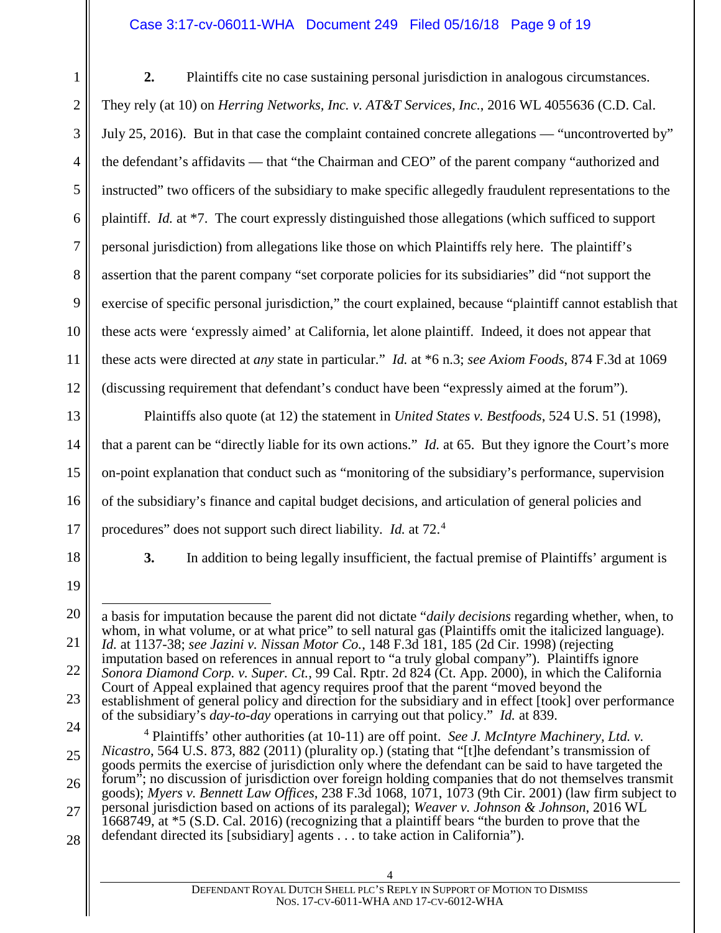#### Case 3:17-cv-06011-WHA Document 249 Filed 05/16/18 Page 9 of 19

1 2 3 4 5 6 7 8 9 10 11 12 **2.** Plaintiffs cite no case sustaining personal jurisdiction in analogous circumstances. They rely (at 10) on *Herring Networks, Inc. v. AT&T Services, Inc.*, 2016 WL 4055636 (C.D. Cal. July 25, 2016). But in that case the complaint contained concrete allegations — "uncontroverted by" the defendant's affidavits — that "the Chairman and CEO" of the parent company "authorized and instructed" two officers of the subsidiary to make specific allegedly fraudulent representations to the plaintiff. *Id.* at \*7. The court expressly distinguished those allegations (which sufficed to support personal jurisdiction) from allegations like those on which Plaintiffs rely here. The plaintiff's assertion that the parent company "set corporate policies for its subsidiaries" did "not support the exercise of specific personal jurisdiction," the court explained, because "plaintiff cannot establish that these acts were 'expressly aimed' at California, let alone plaintiff. Indeed, it does not appear that these acts were directed at *any* state in particular." *Id.* at \*6 n.3; *see Axiom Foods*, 874 F.3d at 1069 (discussing requirement that defendant's conduct have been "expressly aimed at the forum").

13 15 16 17 Plaintiffs also quote (at 12) the statement in *United States v. Bestfoods*, 524 U.S. 51 (1998), that a parent can be "directly liable for its own actions." *Id.* at 65. But they ignore the Court's more on-point explanation that conduct such as "monitoring of the subsidiary's performance, supervision of the subsidiary's finance and capital budget decisions, and articulation of general policies and procedures" does not support such direct liability. *Id.* at 72.<sup>4</sup>

18

14

**3.** In addition to being legally insufficient, the factual premise of Plaintiffs' argument is

19

20

21

 $\overline{a}$ a basis for imputation because the parent did not dictate "*daily decisions* regarding whether, when, to whom, in what volume, or at what price" to sell natural gas (Plaintiffs omit the italicized language).

*Id.* at 1137-38; *see Jazini v. Nissan Motor Co.*, 148 F.3d 181, 185 (2d Cir. 1998) (rejecting

22 23 imputation based on references in annual report to "a truly global company"). Plaintiffs ignore *Sonora Diamond Corp. v. Super. Ct.*, 99 Cal. Rptr. 2d 824 (Ct. App. 2000), in which the California Court of Appeal explained that agency requires proof that the parent "moved beyond the establishment of general policy and direction for the subsidiary and in effect [took] over performance

of the subsidiary's *day-to-day* operations in carrying out that policy." *Id.* at 839.

24 25 26 27 28 <sup>4</sup> Plaintiffs' other authorities (at 10-11) are off point. *See J. McIntyre Machinery, Ltd. v. Nicastro*, 564 U.S. 873, 882 (2011) (plurality op.) (stating that "[t]he defendant's transmission of goods permits the exercise of jurisdiction only where the defendant can be said to have targeted the forum"; no discussion of jurisdiction over foreign holding companies that do not themselves transmit goods); *Myers v. Bennett Law Offices*, 238 F.3d 1068, 1071, 1073 (9th Cir. 2001) (law firm subject to personal jurisdiction based on actions of its paralegal); *Weaver v. Johnson & Johnson*, 2016 WL 1668749, at \*5 (S.D. Cal. 2016) (recognizing that a plaintiff bears "the burden to prove that the defendant directed its [subsidiary] agents . . . to take action in California").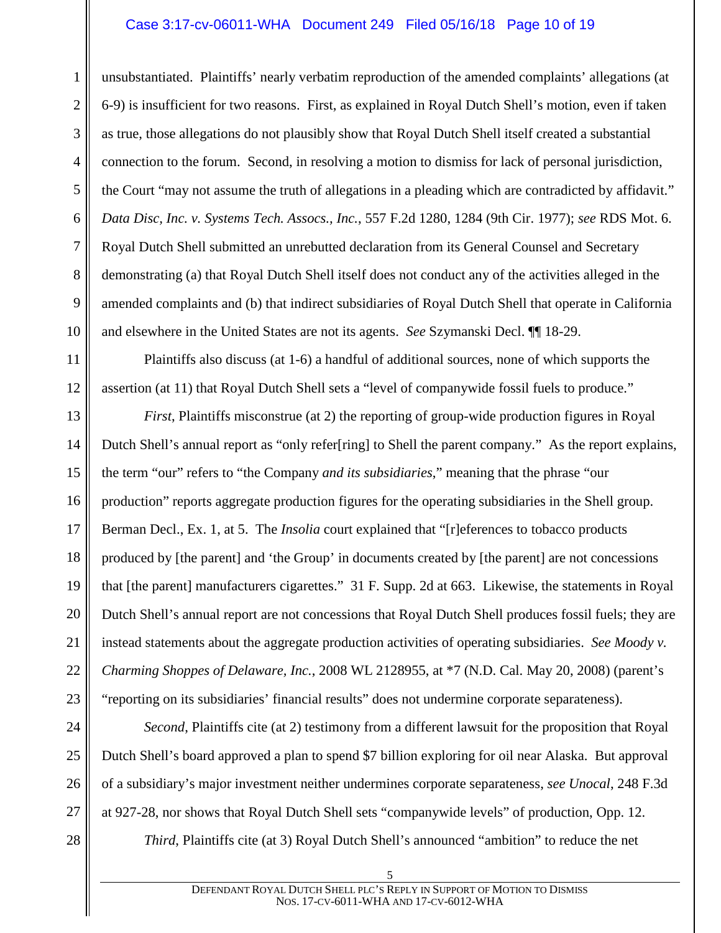#### Case 3:17-cv-06011-WHA Document 249 Filed 05/16/18 Page 10 of 19

unsubstantiated. Plaintiffs' nearly verbatim reproduction of the amended complaints' allegations (at 6-9) is insufficient for two reasons. First, as explained in Royal Dutch Shell's motion, even if taken as true, those allegations do not plausibly show that Royal Dutch Shell itself created a substantial connection to the forum. Second, in resolving a motion to dismiss for lack of personal jurisdiction, the Court "may not assume the truth of allegations in a pleading which are contradicted by affidavit." *Data Disc, Inc. v. Systems Tech. Assocs., Inc.*, 557 F.2d 1280, 1284 (9th Cir. 1977); *see* RDS Mot. 6. Royal Dutch Shell submitted an unrebutted declaration from its General Counsel and Secretary demonstrating (a) that Royal Dutch Shell itself does not conduct any of the activities alleged in the amended complaints and (b) that indirect subsidiaries of Royal Dutch Shell that operate in California and elsewhere in the United States are not its agents. *See* Szymanski Decl. ¶¶ 18-29.

Plaintiffs also discuss (at 1-6) a handful of additional sources, none of which supports the assertion (at 11) that Royal Dutch Shell sets a "level of companywide fossil fuels to produce."

13 14 15 16 17 18 19 20 21 22 23 *First*, Plaintiffs misconstrue (at 2) the reporting of group-wide production figures in Royal Dutch Shell's annual report as "only refer[ring] to Shell the parent company." As the report explains, the term "our" refers to "the Company *and its subsidiaries*," meaning that the phrase "our production" reports aggregate production figures for the operating subsidiaries in the Shell group. Berman Decl., Ex. 1, at 5. The *Insolia* court explained that "[r]eferences to tobacco products produced by [the parent] and 'the Group' in documents created by [the parent] are not concessions that [the parent] manufacturers cigarettes." 31 F. Supp. 2d at 663. Likewise, the statements in Royal Dutch Shell's annual report are not concessions that Royal Dutch Shell produces fossil fuels; they are instead statements about the aggregate production activities of operating subsidiaries. *See Moody v. Charming Shoppes of Delaware, Inc.*, 2008 WL 2128955, at \*7 (N.D. Cal. May 20, 2008) (parent's "reporting on its subsidiaries' financial results" does not undermine corporate separateness).

*Second*, Plaintiffs cite (at 2) testimony from a different lawsuit for the proposition that Royal Dutch Shell's board approved a plan to spend \$7 billion exploring for oil near Alaska. But approval of a subsidiary's major investment neither undermines corporate separateness, *see Unocal*, 248 F.3d at 927-28, nor shows that Royal Dutch Shell sets "companywide levels" of production, Opp. 12.

28

27

24

25

26

1

2

3

4

5

6

7

8

9

10

11

12

*Third*, Plaintiffs cite (at 3) Royal Dutch Shell's announced "ambition" to reduce the net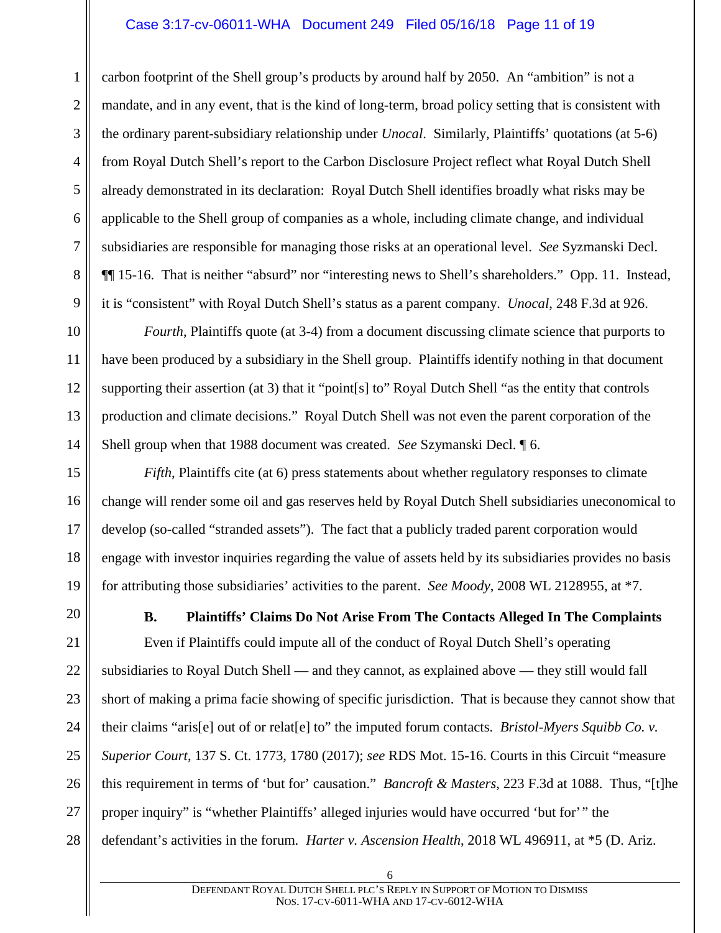#### Case 3:17-cv-06011-WHA Document 249 Filed 05/16/18 Page 11 of 19

carbon footprint of the Shell group's products by around half by 2050. An "ambition" is not a mandate, and in any event, that is the kind of long-term, broad policy setting that is consistent with the ordinary parent-subsidiary relationship under *Unocal*. Similarly, Plaintiffs' quotations (at 5-6) from Royal Dutch Shell's report to the Carbon Disclosure Project reflect what Royal Dutch Shell already demonstrated in its declaration: Royal Dutch Shell identifies broadly what risks may be applicable to the Shell group of companies as a whole, including climate change, and individual subsidiaries are responsible for managing those risks at an operational level. *See* Syzmanski Decl. ¶¶ 15-16. That is neither "absurd" nor "interesting news to Shell's shareholders." Opp. 11. Instead, it is "consistent" with Royal Dutch Shell's status as a parent company. *Unocal*, 248 F.3d at 926.

*Fourth*, Plaintiffs quote (at 3-4) from a document discussing climate science that purports to have been produced by a subsidiary in the Shell group. Plaintiffs identify nothing in that document supporting their assertion (at 3) that it "point[s] to" Royal Dutch Shell "as the entity that controls production and climate decisions." Royal Dutch Shell was not even the parent corporation of the Shell group when that 1988 document was created. *See* Szymanski Decl. ¶ 6.

*Fifth*, Plaintiffs cite (at 6) press statements about whether regulatory responses to climate change will render some oil and gas reserves held by Royal Dutch Shell subsidiaries uneconomical to develop (so-called "stranded assets"). The fact that a publicly traded parent corporation would engage with investor inquiries regarding the value of assets held by its subsidiaries provides no basis for attributing those subsidiaries' activities to the parent. *See Moody*, 2008 WL 2128955, at \*7.

#### **B. Plaintiffs' Claims Do Not Arise From The Contacts Alleged In The Complaints**

27 28 Even if Plaintiffs could impute all of the conduct of Royal Dutch Shell's operating subsidiaries to Royal Dutch Shell — and they cannot, as explained above — they still would fall short of making a prima facie showing of specific jurisdiction. That is because they cannot show that their claims "aris[e] out of or relat[e] to" the imputed forum contacts. *Bristol-Myers Squibb Co. v. Superior Court*, 137 S. Ct. 1773, 1780 (2017); *see* RDS Mot. 15-16. Courts in this Circuit "measure this requirement in terms of 'but for' causation." *Bancroft & Masters*, 223 F.3d at 1088. Thus, "[t]he proper inquiry" is "whether Plaintiffs' alleged injuries would have occurred 'but for'" the defendant's activities in the forum*. Harter v. Ascension Health*, 2018 WL 496911, at \*5 (D. Ariz.

1

2

3

4

5

6

7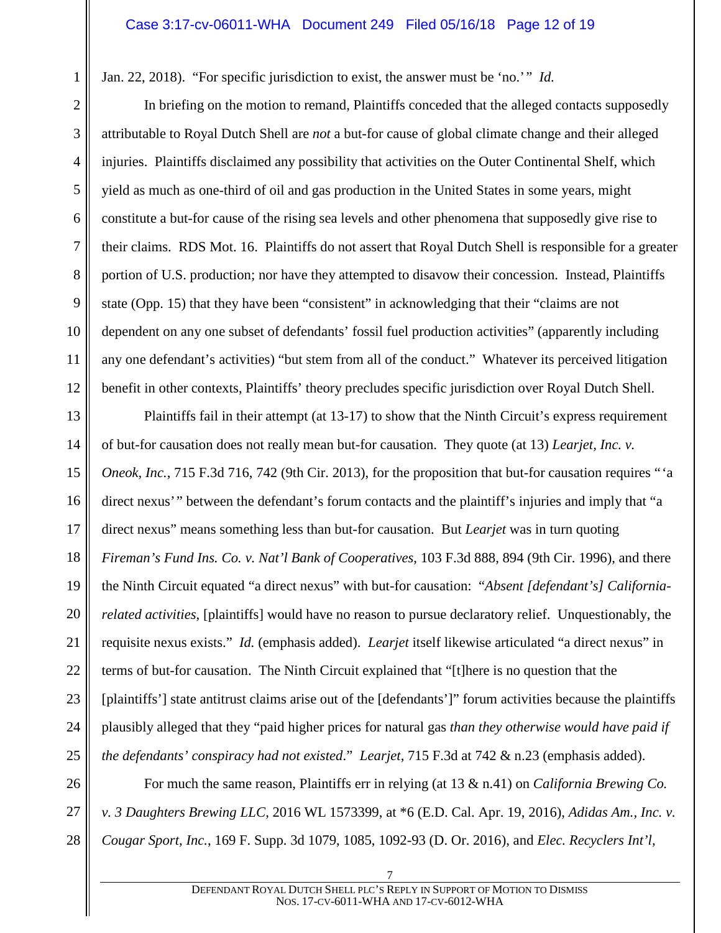Jan. 22, 2018). "For specific jurisdiction to exist, the answer must be 'no.'" *Id.*

In briefing on the motion to remand, Plaintiffs conceded that the alleged contacts supposedly attributable to Royal Dutch Shell are *not* a but-for cause of global climate change and their alleged injuries. Plaintiffs disclaimed any possibility that activities on the Outer Continental Shelf, which yield as much as one-third of oil and gas production in the United States in some years, might constitute a but-for cause of the rising sea levels and other phenomena that supposedly give rise to their claims. RDS Mot. 16. Plaintiffs do not assert that Royal Dutch Shell is responsible for a greater portion of U.S. production; nor have they attempted to disavow their concession. Instead, Plaintiffs state (Opp. 15) that they have been "consistent" in acknowledging that their "claims are not dependent on any one subset of defendants' fossil fuel production activities" (apparently including any one defendant's activities) "but stem from all of the conduct." Whatever its perceived litigation benefit in other contexts, Plaintiffs' theory precludes specific jurisdiction over Royal Dutch Shell.

13 14 15 16 17 18 19 20 21 22 23 24 25 Plaintiffs fail in their attempt (at 13-17) to show that the Ninth Circuit's express requirement of but-for causation does not really mean but-for causation. They quote (at 13) *Learjet, Inc. v. Oneok, Inc.*, 715 F.3d 716, 742 (9th Cir. 2013), for the proposition that but-for causation requires "'a direct nexus'" between the defendant's forum contacts and the plaintiff's injuries and imply that "a direct nexus" means something less than but-for causation. But *Learjet* was in turn quoting *Fireman's Fund Ins. Co. v. Nat'l Bank of Cooperatives*, 103 F.3d 888, 894 (9th Cir. 1996), and there the Ninth Circuit equated "a direct nexus" with but-for causation: "*Absent [defendant's] Californiarelated activities*, [plaintiffs] would have no reason to pursue declaratory relief. Unquestionably, the requisite nexus exists." *Id.* (emphasis added). *Learjet* itself likewise articulated "a direct nexus" in terms of but-for causation. The Ninth Circuit explained that "[t]here is no question that the [plaintiffs'] state antitrust claims arise out of the [defendants']" forum activities because the plaintiffs plausibly alleged that they "paid higher prices for natural gas *than they otherwise would have paid if the defendants' conspiracy had not existed*." *Learjet*, 715 F.3d at 742 & n.23 (emphasis added).

26 27 28 For much the same reason, Plaintiffs err in relying (at 13 & n.41) on *California Brewing Co. v. 3 Daughters Brewing LLC*, 2016 WL 1573399, at \*6 (E.D. Cal. Apr. 19, 2016), *Adidas Am., Inc. v. Cougar Sport, Inc.*, 169 F. Supp. 3d 1079, 1085, 1092-93 (D. Or. 2016), and *Elec. Recyclers Int'l,* 

1

2

3

4

5

6

7

8

9

10

11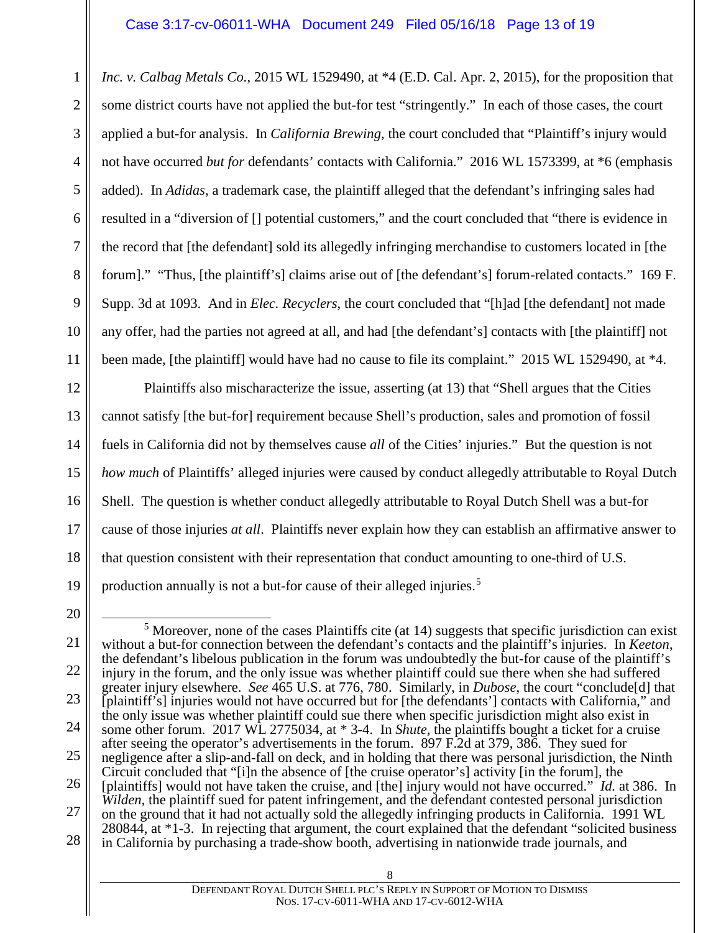1 2 3 4 5 6 7 8 9 10 11 *Inc. v. Calbag Metals Co.*, 2015 WL 1529490, at \*4 (E.D. Cal. Apr. 2, 2015), for the proposition that some district courts have not applied the but-for test "stringently." In each of those cases, the court applied a but-for analysis. In *California Brewing*, the court concluded that "Plaintiff's injury would not have occurred *but for* defendants' contacts with California." 2016 WL 1573399, at \*6 (emphasis added). In *Adidas*, a trademark case, the plaintiff alleged that the defendant's infringing sales had resulted in a "diversion of [] potential customers," and the court concluded that "there is evidence in the record that [the defendant] sold its allegedly infringing merchandise to customers located in [the forum]." "Thus, [the plaintiff's] claims arise out of [the defendant's] forum-related contacts." 169 F. Supp. 3d at 1093. And in *Elec. Recyclers*, the court concluded that "[h]ad [the defendant] not made any offer, had the parties not agreed at all, and had [the defendant's] contacts with [the plaintiff] not been made, [the plaintiff] would have had no cause to file its complaint." 2015 WL 1529490, at \*4.

12 13 14 15 16 17 18 19 Plaintiffs also mischaracterize the issue, asserting (at 13) that "Shell argues that the Cities cannot satisfy [the but-for] requirement because Shell's production, sales and promotion of fossil fuels in California did not by themselves cause *all* of the Cities' injuries." But the question is not *how much* of Plaintiffs' alleged injuries were caused by conduct allegedly attributable to Royal Dutch Shell. The question is whether conduct allegedly attributable to Royal Dutch Shell was a but-for cause of those injuries *at all*. Plaintiffs never explain how they can establish an affirmative answer to that question consistent with their representation that conduct amounting to one-third of U.S. production annually is not a but-for cause of their alleged injuries. 5

<sup>20</sup>

<sup>21</sup> 22 23 24 25 26 27 28  $<sup>5</sup>$  Moreover, none of the cases Plaintiffs cite (at 14) suggests that specific jurisdiction can exist</sup> without a but-for connection between the defendant's contacts and the plaintiff's injuries. In *Keeton*, the defendant's libelous publication in the forum was undoubtedly the but-for cause of the plaintiff's injury in the forum, and the only issue was whether plaintiff could sue there when she had suffered greater injury elsewhere. *See* 465 U.S. at 776, 780. Similarly, in *Dubose*, the court "conclude[d] that [plaintiff's] injuries would not have occurred but for [the defendants'] contacts with California," and the only issue was whether plaintiff could sue there when specific jurisdiction might also exist in some other forum. 2017 WL 2775034, at \* 3-4. In *Shute*, the plaintiffs bought a ticket for a cruise after seeing the operator's advertisements in the forum. 897 F.2d at 379, 386. They sued for negligence after a slip-and-fall on deck, and in holding that there was personal jurisdiction, the Ninth Circuit concluded that "[i]n the absence of [the cruise operator's] activity [in the forum], the [plaintiffs] would not have taken the cruise, and [the] injury would not have occurred." *Id.* at 386. In *Wilden*, the plaintiff sued for patent infringement, and the defendant contested personal jurisdiction on the ground that it had not actually sold the allegedly infringing products in California. 1991 WL 280844, at \*1-3. In rejecting that argument, the court explained that the defendant "solicited business in California by purchasing a trade-show booth, advertising in nationwide trade journals, and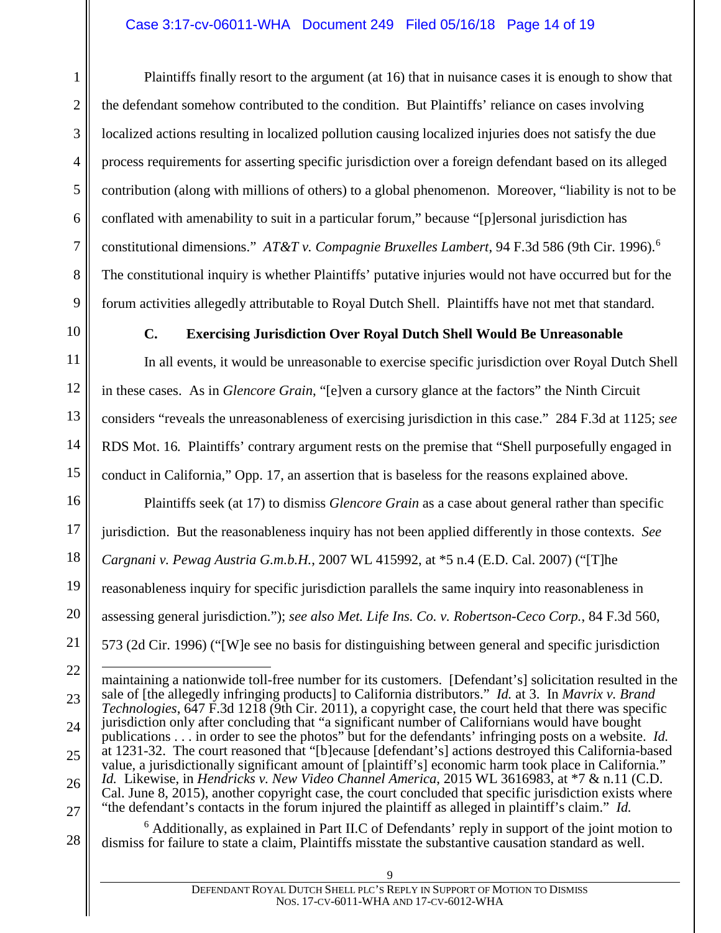Plaintiffs finally resort to the argument (at 16) that in nuisance cases it is enough to show that the defendant somehow contributed to the condition. But Plaintiffs' reliance on cases involving localized actions resulting in localized pollution causing localized injuries does not satisfy the due process requirements for asserting specific jurisdiction over a foreign defendant based on its alleged contribution (along with millions of others) to a global phenomenon. Moreover, "liability is not to be conflated with amenability to suit in a particular forum," because "[p]ersonal jurisdiction has constitutional dimensions." *AT&T v. Compagnie Bruxelles Lambert*, 94 F.3d 586 (9th Cir. 1996).<sup>6</sup> The constitutional inquiry is whether Plaintiffs' putative injuries would not have occurred but for the forum activities allegedly attributable to Royal Dutch Shell. Plaintiffs have not met that standard.

1

2

3

4

5

6

7

8

9

10

11

12

13

14

15

## **C. Exercising Jurisdiction Over Royal Dutch Shell Would Be Unreasonable**

In all events, it would be unreasonable to exercise specific jurisdiction over Royal Dutch Shell in these cases. As in *Glencore Grain*, "[e]ven a cursory glance at the factors" the Ninth Circuit considers "reveals the unreasonableness of exercising jurisdiction in this case." 284 F.3d at 1125; *see* RDS Mot. 16*.* Plaintiffs' contrary argument rests on the premise that "Shell purposefully engaged in conduct in California," Opp. 17, an assertion that is baseless for the reasons explained above.

16 17 18 19 20 21 Plaintiffs seek (at 17) to dismiss *Glencore Grain* as a case about general rather than specific jurisdiction. But the reasonableness inquiry has not been applied differently in those contexts. *See Cargnani v. Pewag Austria G.m.b.H.*, 2007 WL 415992, at \*5 n.4 (E.D. Cal. 2007) ("[T]he reasonableness inquiry for specific jurisdiction parallels the same inquiry into reasonableness in assessing general jurisdiction."); *see also Met. Life Ins. Co. v. Robertson-Ceco Corp.*, 84 F.3d 560, 573 (2d Cir. 1996) ("[W]e see no basis for distinguishing between general and specific jurisdiction

22 23 24 25 26 27  $\overline{a}$ maintaining a nationwide toll-free number for its customers. [Defendant's] solicitation resulted in the sale of [the allegedly infringing products] to California distributors." *Id.* at 3. In *Mavrix v. Brand Technologies*, 647 F.3d 1218 (9th Cir. 2011), a copyright case, the court held that there was specific jurisdiction only after concluding that "a significant number of Californians would have bought publications . . . in order to see the photos" but for the defendants' infringing posts on a website. *Id.* at 1231-32. The court reasoned that "[b]ecause [defendant's] actions destroyed this California-based value, a jurisdictionally significant amount of [plaintiff's] economic harm took place in California." *Id.* Likewise, in *Hendricks v. New Video Channel America*, 2015 WL 3616983, at \*7 & n.11 (C.D. Cal. June 8, 2015), another copyright case, the court concluded that specific jurisdiction exists where "the defendant's contacts in the forum injured the plaintiff as alleged in plaintiff's claim." *Id.*

28 <sup>6</sup> Additionally, as explained in Part II.C of Defendants' reply in support of the joint motion to dismiss for failure to state a claim, Plaintiffs misstate the substantive causation standard as well.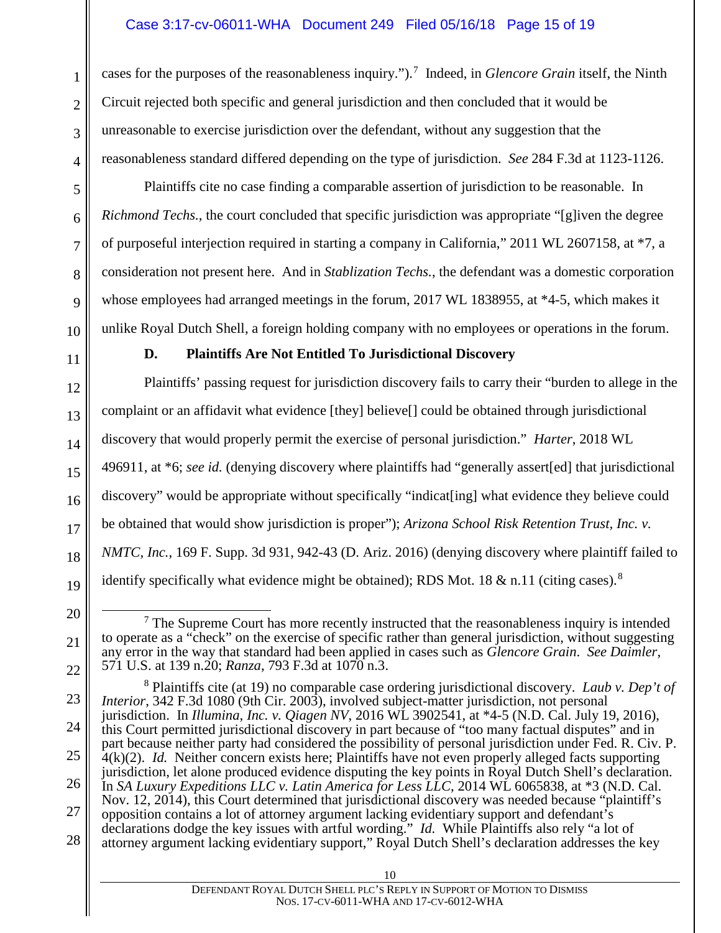cases for the purposes of the reasonableness inquiry.").<sup>7</sup> Indeed, in *Glencore Grain* itself, the Ninth Circuit rejected both specific and general jurisdiction and then concluded that it would be unreasonable to exercise jurisdiction over the defendant, without any suggestion that the reasonableness standard differed depending on the type of jurisdiction. *See* 284 F.3d at 1123-1126.

Plaintiffs cite no case finding a comparable assertion of jurisdiction to be reasonable. In *Richmond Techs.*, the court concluded that specific jurisdiction was appropriate "[g]iven the degree of purposeful interjection required in starting a company in California," 2011 WL 2607158, at \*7, a consideration not present here. And in *Stablization Techs.*, the defendant was a domestic corporation whose employees had arranged meetings in the forum, 2017 WL 1838955, at \*4-5, which makes it unlike Royal Dutch Shell, a foreign holding company with no employees or operations in the forum.

## **D. Plaintiffs Are Not Entitled To Jurisdictional Discovery**

Plaintiffs' passing request for jurisdiction discovery fails to carry their "burden to allege in the complaint or an affidavit what evidence [they] believe[] could be obtained through jurisdictional discovery that would properly permit the exercise of personal jurisdiction." *Harter*, 2018 WL 496911, at \*6; *see id.* (denying discovery where plaintiffs had "generally assert[ed] that jurisdictional discovery" would be appropriate without specifically "indicat[ing] what evidence they believe could be obtained that would show jurisdiction is proper"); *Arizona School Risk Retention Trust, Inc. v. NMTC, Inc.*, 169 F. Supp. 3d 931, 942-43 (D. Ariz. 2016) (denying discovery where plaintiff failed to identify specifically what evidence might be obtained); RDS Mot. 18 & n.11 (citing cases).<sup>8</sup>

1

2

 $<sup>7</sup>$  The Supreme Court has more recently instructed that the reasonableness inquiry is intended</sup> to operate as a "check" on the exercise of specific rather than general jurisdiction, without suggesting any error in the way that standard had been applied in cases such as *Glencore Grain*. *See Daimler*, 571 U.S. at 139 n.20; *Ranza*, 793 F.3d at 1070 n.3.

<sup>8</sup> Plaintiffs cite (at 19) no comparable case ordering jurisdictional discovery. *Laub v. Dep't of Interior*, 342 F.3d 1080 (9th Cir. 2003), involved subject-matter jurisdiction, not personal jurisdiction. In *Illumina, Inc. v. Qiagen NV*, 2016 WL 3902541, at \*4-5 (N.D. Cal. July 19, 2016), this Court permitted jurisdictional discovery in part because of "too many factual disputes" and in

part because neither party had considered the possibility of personal jurisdiction under Fed. R. Civ. P. 4(k)(2). *Id.* Neither concern exists here; Plaintiffs have not even properly alleged facts supporting jurisdiction, let alone produced evidence disputing the key points in Royal Dutch Shell's declaration.

In *SA Luxury Expeditions LLC v. Latin America for Less LLC*, 2014 WL 6065838, at \*3 (N.D. Cal.) Nov. 12, 2014), this Court determined that jurisdictional discovery was needed because "plaintiff's

<sup>28</sup> opposition contains a lot of attorney argument lacking evidentiary support and defendant's declarations dodge the key issues with artful wording." *Id.* While Plaintiffs also rely "a lot of attorney argument lacking evidentiary support," Royal Dutch Shell's declaration addresses the key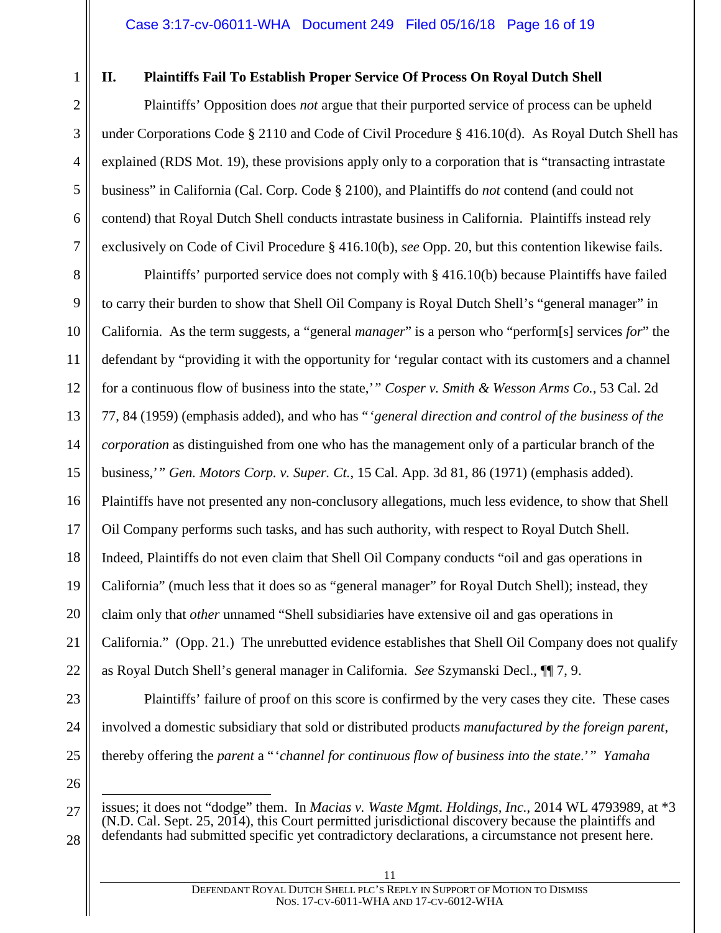1

2

3

4

5

6

7

# **II. Plaintiffs Fail To Establish Proper Service Of Process On Royal Dutch Shell**

Plaintiffs' Opposition does *not* argue that their purported service of process can be upheld under Corporations Code § 2110 and Code of Civil Procedure § 416.10(d). As Royal Dutch Shell has explained (RDS Mot. 19), these provisions apply only to a corporation that is "transacting intrastate business" in California (Cal. Corp. Code § 2100), and Plaintiffs do *not* contend (and could not contend) that Royal Dutch Shell conducts intrastate business in California. Plaintiffs instead rely exclusively on Code of Civil Procedure § 416.10(b), *see* Opp. 20, but this contention likewise fails.

8 9 10 11 12 13 14 15 16 17 18 19 20 21 22 Plaintiffs' purported service does not comply with § 416.10(b) because Plaintiffs have failed to carry their burden to show that Shell Oil Company is Royal Dutch Shell's "general manager" in California. As the term suggests, a "general *manager*" is a person who "perform[s] services *for*" the defendant by "providing it with the opportunity for 'regular contact with its customers and a channel for a continuous flow of business into the state,'" *Cosper v. Smith & Wesson Arms Co.*, 53 Cal. 2d 77, 84 (1959) (emphasis added), and who has "'*general direction and control of the business of the corporation* as distinguished from one who has the management only of a particular branch of the business,'" *Gen. Motors Corp. v. Super. Ct.*, 15 Cal. App. 3d 81, 86 (1971) (emphasis added). Plaintiffs have not presented any non-conclusory allegations, much less evidence, to show that Shell Oil Company performs such tasks, and has such authority, with respect to Royal Dutch Shell. Indeed, Plaintiffs do not even claim that Shell Oil Company conducts "oil and gas operations in California" (much less that it does so as "general manager" for Royal Dutch Shell); instead, they claim only that *other* unnamed "Shell subsidiaries have extensive oil and gas operations in California." (Opp. 21.) The unrebutted evidence establishes that Shell Oil Company does not qualify as Royal Dutch Shell's general manager in California. *See* Szymanski Decl., ¶¶ 7, 9.

23 24

25 26 involved a domestic subsidiary that sold or distributed products *manufactured by the foreign parent*,

thereby offering the *parent* a "'*channel for continuous flow of business into the state*.'" *Yamaha*

Plaintiffs' failure of proof on this score is confirmed by the very cases they cite. These cases

<sup>27</sup> 28  $\overline{a}$ issues; it does not "dodge" them. In *Macias v. Waste Mgmt. Holdings, Inc.*, 2014 WL 4793989, at \*3 (N.D. Cal. Sept. 25, 2014), this Court permitted jurisdictional discovery because the plaintiffs and defendants had submitted specific yet contradictory declarations, a circumstance not present here.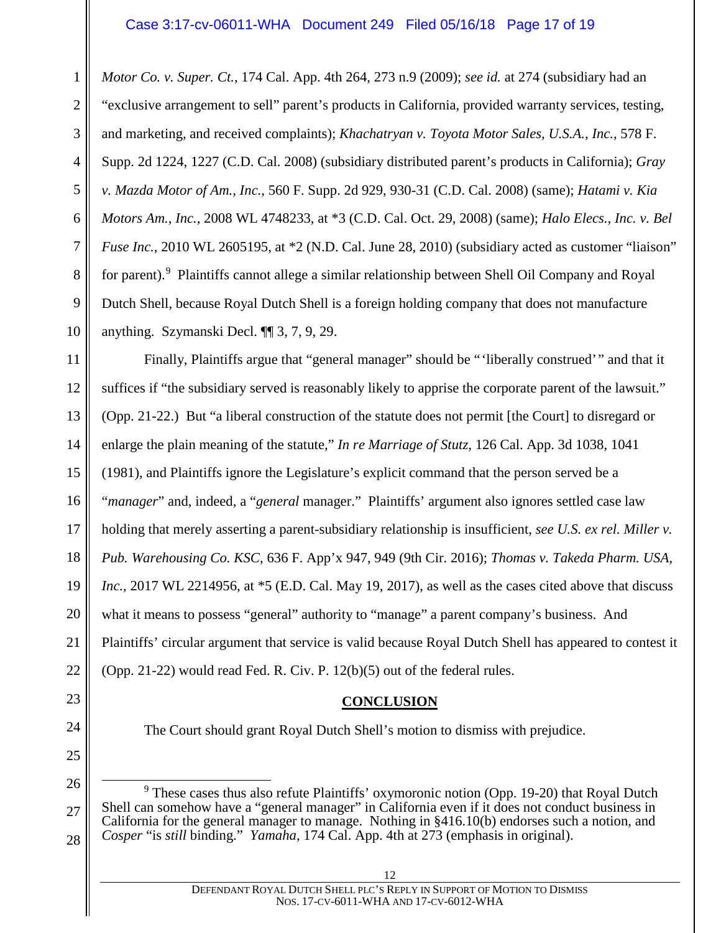#### Case 3:17-cv-06011-WHA Document 249 Filed 05/16/18 Page 17 of 19

1 2 3 4 5 6 7 8 9 10 *Motor Co. v. Super. Ct.*, 174 Cal. App. 4th 264, 273 n.9 (2009); *see id.* at 274 (subsidiary had an "exclusive arrangement to sell" parent's products in California, provided warranty services, testing, and marketing, and received complaints); *Khachatryan v. Toyota Motor Sales, U.S.A., Inc.*, 578 F. Supp. 2d 1224, 1227 (C.D. Cal. 2008) (subsidiary distributed parent's products in California); *Gray v. Mazda Motor of Am., Inc.*, 560 F. Supp. 2d 929, 930-31 (C.D. Cal. 2008) (same); *Hatami v. Kia Motors Am., Inc.*, 2008 WL 4748233, at \*3 (C.D. Cal. Oct. 29, 2008) (same); *Halo Elecs., Inc. v. Bel Fuse Inc.*, 2010 WL 2605195, at \*2 (N.D. Cal. June 28, 2010) (subsidiary acted as customer "liaison" for parent).<sup>9</sup> Plaintiffs cannot allege a similar relationship between Shell Oil Company and Royal Dutch Shell, because Royal Dutch Shell is a foreign holding company that does not manufacture anything. Szymanski Decl. ¶¶ 3, 7, 9, 29.

11 12 13 14 15 16 17 18 19 20 21 22 Finally, Plaintiffs argue that "general manager" should be "'liberally construed'" and that it suffices if "the subsidiary served is reasonably likely to apprise the corporate parent of the lawsuit." (Opp. 21-22.) But "a liberal construction of the statute does not permit [the Court] to disregard or enlarge the plain meaning of the statute," *In re Marriage of Stutz*, 126 Cal. App. 3d 1038, 1041 (1981), and Plaintiffs ignore the Legislature's explicit command that the person served be a "*manager*" and, indeed, a "*general* manager." Plaintiffs' argument also ignores settled case law holding that merely asserting a parent-subsidiary relationship is insufficient, *see U.S. ex rel. Miller v. Pub. Warehousing Co. KSC*, 636 F. App'x 947, 949 (9th Cir. 2016); *Thomas v. Takeda Pharm. USA,*  Inc., 2017 WL 2214956, at  $*5$  (E.D. Cal. May 19, 2017), as well as the cases cited above that discuss what it means to possess "general" authority to "manage" a parent company's business. And Plaintiffs' circular argument that service is valid because Royal Dutch Shell has appeared to contest it (Opp. 21-22) would read Fed. R. Civ. P. 12(b)(5) out of the federal rules.

#### **CONCLUSION**

The Court should grant Royal Dutch Shell's motion to dismiss with prejudice.

23

24

25

26

27

28

<sup>9</sup> These cases thus also refute Plaintiffs' oxymoronic notion (Opp. 19-20) that Royal Dutch Shell can somehow have a "general manager" in California even if it does not conduct business in California for the general manager to manage. Nothing in §416.10(b) endorses such a notion, and *Cosper* "is *still* binding." *Yamaha*, 174 Cal. App. 4th at 273 (emphasis in original).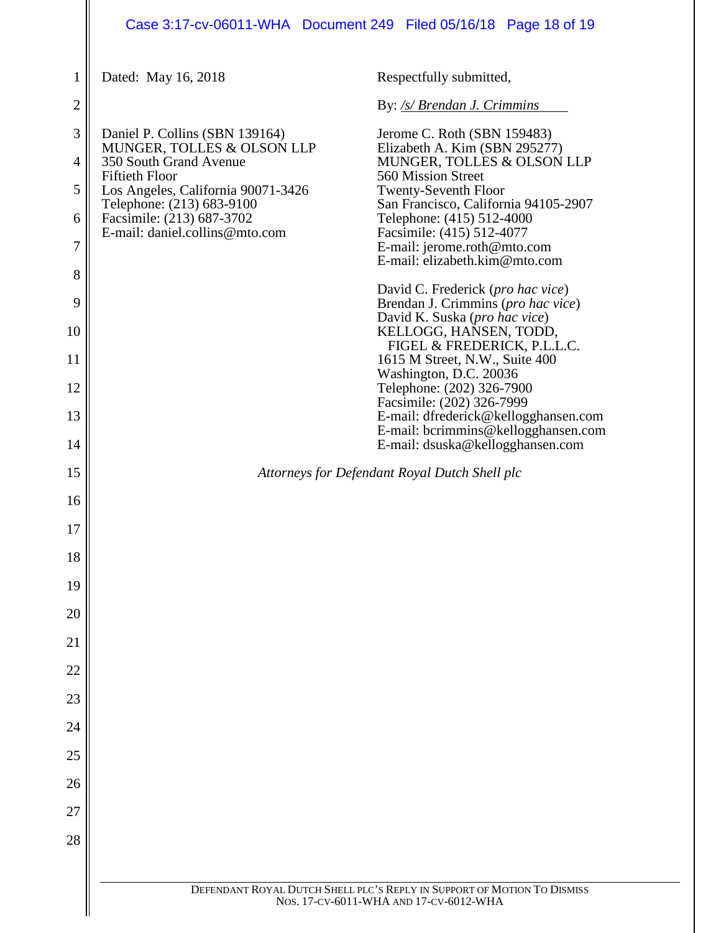# Case 3:17-cv-06011-WHA Document 249 Filed 05/16/18 Page 18 of 19

| 1              | Dated: May 16, 2018                                                           | Respectfully submitted,                                                                                           |
|----------------|-------------------------------------------------------------------------------|-------------------------------------------------------------------------------------------------------------------|
| $\overline{2}$ |                                                                               | By: /s/ Brendan J. Crimmins                                                                                       |
| 3              | Daniel P. Collins (SBN 139164)                                                | Jerome C. Roth (SBN 159483)                                                                                       |
| 4              | MUNGER, TOLLES & OLSON LLP<br>350 South Grand Avenue<br><b>Fiftieth Floor</b> | Elizabeth A. Kim (SBN 295277)<br>MUNGER, TOLLES & OLSON LLP<br>560 Mission Street                                 |
| 5              | Los Angeles, California 90071-3426<br>Telephone: (213) 683-9100               | <b>Twenty-Seventh Floor</b>                                                                                       |
| 6              | Facsimile: (213) 687-3702<br>E-mail: daniel.collins@mto.com                   | San Francisco, California 94105-2907<br>Telephone: (415) 512-4000                                                 |
| 7              |                                                                               | Facsimile: (415) 512-4077<br>E-mail: jerome.roth@mto.com<br>E-mail: elizabeth.kim@mto.com                         |
| 8              |                                                                               |                                                                                                                   |
| 9              |                                                                               | David C. Frederick (pro hac vice)<br>Brendan J. Crimmins (pro hac vice)<br>David K. Suska (pro hac vice)          |
| 10<br>11       |                                                                               | KELLOGG, HANSEN, TODD,<br>FIGEL & FREDERICK, P.L.L.C.                                                             |
| 12             |                                                                               | 1615 M Street, N.W., Suite 400<br>Washington, D.C. 20036<br>Telephone: (202) 326-7900                             |
| 13             |                                                                               | Facsimile: (202) 326-7999<br>E-mail: dfrederick@kellogghansen.com                                                 |
| 14             |                                                                               | E-mail: bcrimmins@kellogghansen.com<br>E-mail: dsuska@kellogghansen.com                                           |
| 15             |                                                                               | Attorneys for Defendant Royal Dutch Shell plc                                                                     |
| 16             |                                                                               |                                                                                                                   |
| 17             |                                                                               |                                                                                                                   |
| 18             |                                                                               |                                                                                                                   |
| 19             |                                                                               |                                                                                                                   |
| 20             |                                                                               |                                                                                                                   |
| 21             |                                                                               |                                                                                                                   |
| 22             |                                                                               |                                                                                                                   |
| 23             |                                                                               |                                                                                                                   |
| 24             |                                                                               |                                                                                                                   |
| 25             |                                                                               |                                                                                                                   |
| 26             |                                                                               |                                                                                                                   |
| 27             |                                                                               |                                                                                                                   |
| 28             |                                                                               |                                                                                                                   |
|                |                                                                               |                                                                                                                   |
|                |                                                                               | DEFENDANT ROYAL DUTCH SHELL PLC'S REPLY IN SUPPORT OF MOTION TO DISMISS<br>NOS. 17-CV-6011-WHA AND 17-CV-6012-WHA |